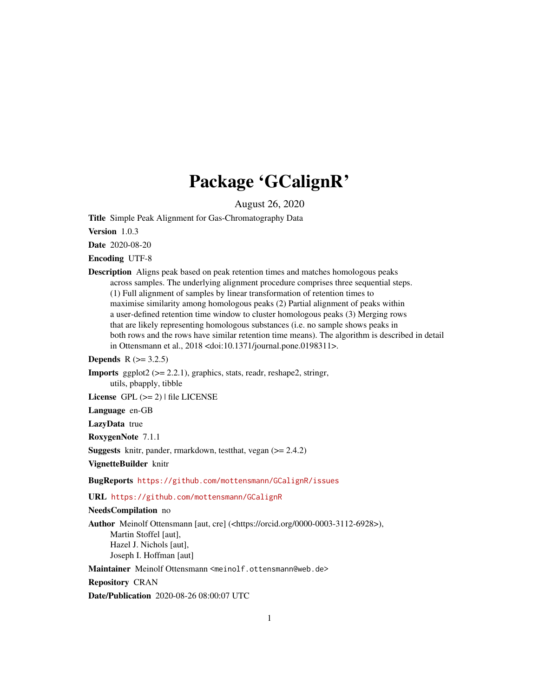# Package 'GCalignR'

August 26, 2020

<span id="page-0-0"></span>Title Simple Peak Alignment for Gas-Chromatography Data

Version 1.0.3

Date 2020-08-20

Encoding UTF-8

Description Aligns peak based on peak retention times and matches homologous peaks across samples. The underlying alignment procedure comprises three sequential steps. (1) Full alignment of samples by linear transformation of retention times to maximise similarity among homologous peaks (2) Partial alignment of peaks within a user-defined retention time window to cluster homologous peaks (3) Merging rows that are likely representing homologous substances (i.e. no sample shows peaks in both rows and the rows have similar retention time means). The algorithm is described in detail in Ottensmann et al., 2018 <doi:10.1371/journal.pone.0198311>.

**Depends**  $R$  ( $>= 3.2.5$ )

**Imports** ggplot $2$  ( $>= 2.2.1$ ), graphics, stats, readr, reshape2, stringr, utils, pbapply, tibble

License GPL  $(>= 2)$  | file LICENSE

Language en-GB

LazyData true

RoxygenNote 7.1.1

Suggests knitr, pander, rmarkdown, testthat, vegan (>= 2.4.2)

VignetteBuilder knitr

BugReports <https://github.com/mottensmann/GCalignR/issues>

URL <https://github.com/mottensmann/GCalignR>

#### NeedsCompilation no

Author Meinolf Ottensmann [aut, cre] (<https://orcid.org/0000-0003-3112-6928>), Martin Stoffel [aut], Hazel J. Nichols [aut], Joseph I. Hoffman [aut]

Maintainer Meinolf Ottensmann <meinolf.ottensmann@web.de>

Repository CRAN

Date/Publication 2020-08-26 08:00:07 UTC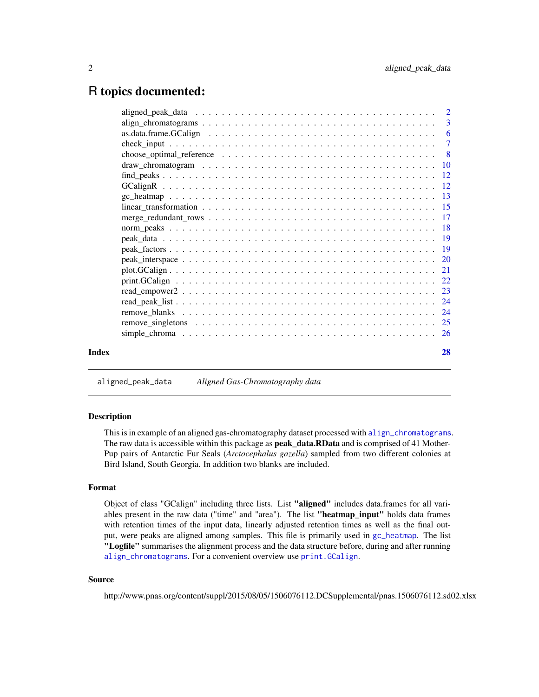# <span id="page-1-0"></span>R topics documented:

| Index | 28 |
|-------|----|

aligned\_peak\_data *Aligned Gas-Chromatography data*

## Description

This is in example of an aligned gas-chromatography dataset processed with [align\\_chromatograms](#page-2-1). The raw data is accessible within this package as **peak\_data.RData** and is comprised of 41 Mother-Pup pairs of Antarctic Fur Seals (*Arctocephalus gazella*) sampled from two different colonies at Bird Island, South Georgia. In addition two blanks are included.

## Format

Object of class "GCalign" including three lists. List "aligned" includes data.frames for all variables present in the raw data ("time" and "area"). The list "heatmap\_input" holds data frames with retention times of the input data, linearly adjusted retention times as well as the final output, were peaks are aligned among samples. This file is primarily used in [gc\\_heatmap](#page-12-1). The list "Logfile" summarises the alignment process and the data structure before, during and after running [align\\_chromatograms](#page-2-1). For a convenient overview use [print.GCalign](#page-21-1).

## Source

http://www.pnas.org/content/suppl/2015/08/05/1506076112.DCSupplemental/pnas.1506076112.sd02.xlsx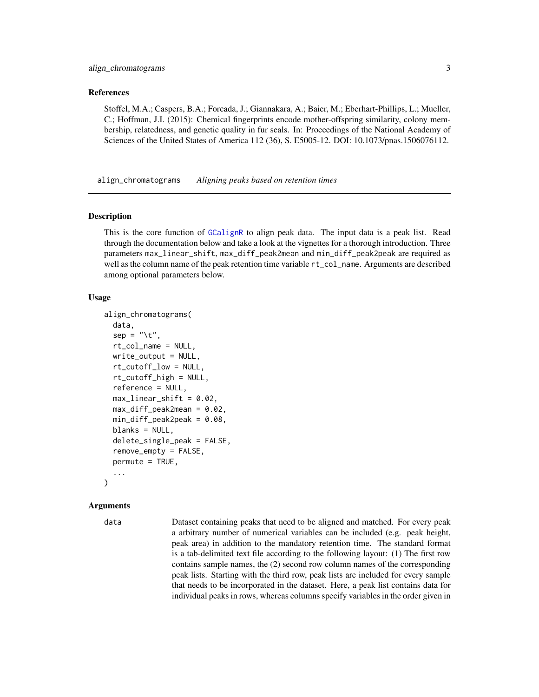### <span id="page-2-0"></span>References

Stoffel, M.A.; Caspers, B.A.; Forcada, J.; Giannakara, A.; Baier, M.; Eberhart-Phillips, L.; Mueller, C.; Hoffman, J.I. (2015): Chemical fingerprints encode mother-offspring similarity, colony membership, relatedness, and genetic quality in fur seals. In: Proceedings of the National Academy of Sciences of the United States of America 112 (36), S. E5005-12. DOI: 10.1073/pnas.1506076112.

<span id="page-2-1"></span>align\_chromatograms *Aligning peaks based on retention times*

## Description

This is the core function of [GCalignR](#page-11-1) to align peak data. The input data is a peak list. Read through the documentation below and take a look at the vignettes for a thorough introduction. Three parameters max\_linear\_shift, max\_diff\_peak2mean and min\_diff\_peak2peak are required as well as the column name of the peak retention time variable  $rt_{col\_name}$ . Arguments are described among optional parameters below.

#### Usage

```
align_chromatograms(
  data,
  sep = "\t",
  rt_col_name = NULL,
  write\_output = NULL,rt_cutoff_low = NULL,
  rt_cutoff_high = NULL,
  reference = NULL,
  max-linear_shift = 0.02,
  max_diff_peak2mean = 0.02,
  min\_diff\_peak2peak = 0.08,
  blanks = NULL,delete_single_peak = FALSE,
  remove_empty = FALSE,
  permute = TRUE,...
)
```
#### Arguments

data Dataset containing peaks that need to be aligned and matched. For every peak a arbitrary number of numerical variables can be included (e.g. peak height, peak area) in addition to the mandatory retention time. The standard format is a tab-delimited text file according to the following layout: (1) The first row contains sample names, the (2) second row column names of the corresponding peak lists. Starting with the third row, peak lists are included for every sample that needs to be incorporated in the dataset. Here, a peak list contains data for individual peaks in rows, whereas columns specify variables in the order given in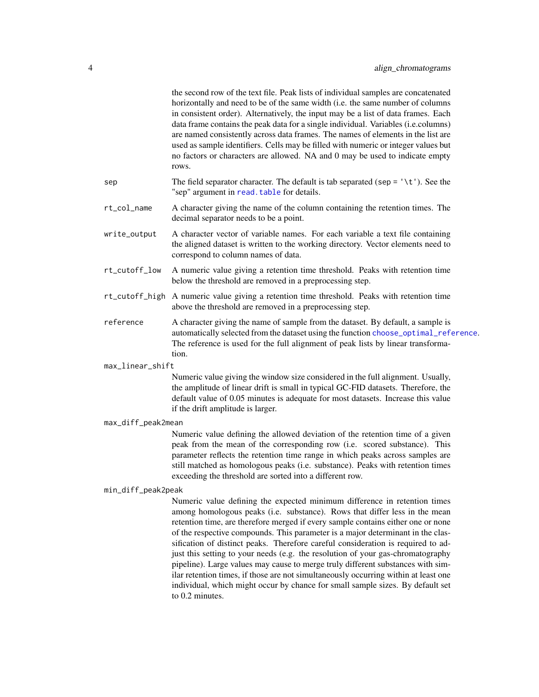<span id="page-3-0"></span>

|                    | the second row of the text file. Peak lists of individual samples are concatenated<br>horizontally and need to be of the same width (i.e. the same number of columns<br>in consistent order). Alternatively, the input may be a list of data frames. Each<br>data frame contains the peak data for a single individual. Variables (i.e.columns)<br>are named consistently across data frames. The names of elements in the list are<br>used as sample identifiers. Cells may be filled with numeric or integer values but<br>no factors or characters are allowed. NA and 0 may be used to indicate empty<br>rows. |
|--------------------|--------------------------------------------------------------------------------------------------------------------------------------------------------------------------------------------------------------------------------------------------------------------------------------------------------------------------------------------------------------------------------------------------------------------------------------------------------------------------------------------------------------------------------------------------------------------------------------------------------------------|
| sep                | The field separator character. The default is tab separated (sep = $\lceil \cdot \lceil \cdot \rceil \rceil$ ). See the<br>"sep" argument in read. table for details.                                                                                                                                                                                                                                                                                                                                                                                                                                              |
| rt_col_name        | A character giving the name of the column containing the retention times. The<br>decimal separator needs to be a point.                                                                                                                                                                                                                                                                                                                                                                                                                                                                                            |
| write_output       | A character vector of variable names. For each variable a text file containing<br>the aligned dataset is written to the working directory. Vector elements need to<br>correspond to column names of data.                                                                                                                                                                                                                                                                                                                                                                                                          |
| rt_cutoff_low      | A numeric value giving a retention time threshold. Peaks with retention time<br>below the threshold are removed in a preprocessing step.                                                                                                                                                                                                                                                                                                                                                                                                                                                                           |
| rt_cutoff_high     | A numeric value giving a retention time threshold. Peaks with retention time<br>above the threshold are removed in a preprocessing step.                                                                                                                                                                                                                                                                                                                                                                                                                                                                           |
| reference          | A character giving the name of sample from the dataset. By default, a sample is<br>automatically selected from the dataset using the function choose_optimal_reference.<br>The reference is used for the full alignment of peak lists by linear transforma-<br>tion.                                                                                                                                                                                                                                                                                                                                               |
| max_linear_shift   |                                                                                                                                                                                                                                                                                                                                                                                                                                                                                                                                                                                                                    |
|                    | Numeric value giving the window size considered in the full alignment. Usually,<br>the amplitude of linear drift is small in typical GC-FID datasets. Therefore, the<br>default value of 0.05 minutes is adequate for most datasets. Increase this value<br>if the drift amplitude is larger.                                                                                                                                                                                                                                                                                                                      |
| max_diff_peak2mean |                                                                                                                                                                                                                                                                                                                                                                                                                                                                                                                                                                                                                    |
|                    | Numeric value defining the allowed deviation of the retention time of a given<br>peak from the mean of the corresponding row (i.e. scored substance). This<br>parameter reflects the retention time range in which peaks across samples are<br>still matched as homologous peaks (i.e. substance). Peaks with retention times<br>exceeding the threshold are sorted into a different row.                                                                                                                                                                                                                          |
| min_diff_peak2peak |                                                                                                                                                                                                                                                                                                                                                                                                                                                                                                                                                                                                                    |
|                    | Numeric value defining the expected minimum difference in retention times<br>among homologous peaks (i.e. substance). Rows that differ less in the mean<br>retention time, are therefore merged if every sample contains either one or none<br>of the respective compounds. This parameter is a major determinant in the clas-                                                                                                                                                                                                                                                                                     |

sification of distinct peaks. Therefore careful consideration is required to adjust this setting to your needs (e.g. the resolution of your gas-chromatography pipeline). Large values may cause to merge truly different substances with similar retention times, if those are not simultaneously occurring within at least one individual, which might occur by chance for small sample sizes. By default set

to 0.2 minutes.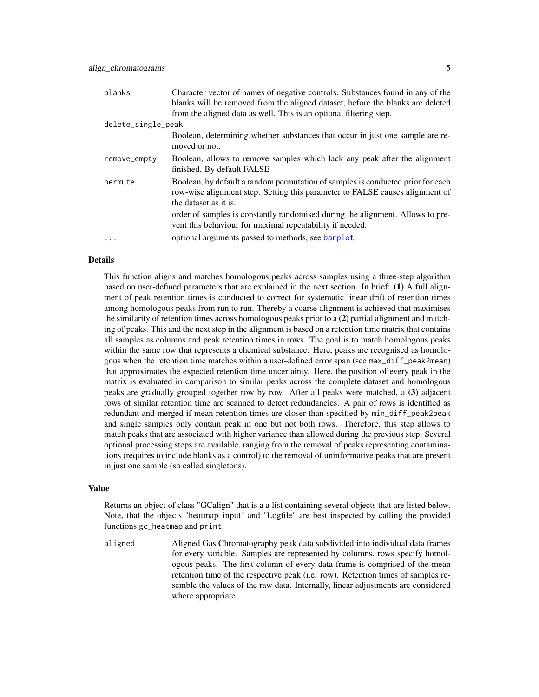<span id="page-4-0"></span>

| blanks             | Character vector of names of negative controls. Substances found in any of the<br>blanks will be removed from the aligned dataset, before the blanks are deleted<br>from the aligned data as well. This is an optional filtering step. |
|--------------------|----------------------------------------------------------------------------------------------------------------------------------------------------------------------------------------------------------------------------------------|
| delete_single_peak |                                                                                                                                                                                                                                        |
|                    | Boolean, determining whether substances that occur in just one sample are re-<br>moved or not.                                                                                                                                         |
| remove_empty       | Boolean, allows to remove samples which lack any peak after the alignment<br>finished. By default FALSE                                                                                                                                |
| permute            | Boolean, by default a random permutation of samples is conducted prior for each<br>row-wise alignment step. Setting this parameter to FALSE causes alignment of<br>the dataset as it is.                                               |
|                    | order of samples is constantly randomised during the alignment. Allows to pre-<br>vent this behaviour for maximal repeatability if needed.                                                                                             |
|                    | optional arguments passed to methods, see barplot.                                                                                                                                                                                     |

#### Details

This function aligns and matches homologous peaks across samples using a three-step algorithm based on user-defined parameters that are explained in the next section. In brief: (1) A full alignment of peak retention times is conducted to correct for systematic linear drift of retention times among homologous peaks from run to run. Thereby a coarse alignment is achieved that maximises the similarity of retention times across homologous peaks prior to a (2) partial alignment and matching of peaks. This and the next step in the alignment is based on a retention time matrix that contains all samples as columns and peak retention times in rows. The goal is to match homologous peaks within the same row that represents a chemical substance. Here, peaks are recognised as homologous when the retention time matches within a user-defined error span (see max\_diff\_peak2mean) that approximates the expected retention time uncertainty. Here, the position of every peak in the matrix is evaluated in comparison to similar peaks across the complete dataset and homologous peaks are gradually grouped together row by row. After all peaks were matched, a (3) adjacent rows of similar retention time are scanned to detect redundancies. A pair of rows is identified as redundant and merged if mean retention times are closer than specified by min\_diff\_peak2peak and single samples only contain peak in one but not both rows. Therefore, this step allows to match peaks that are associated with higher variance than allowed during the previous step. Several optional processing steps are available, ranging from the removal of peaks representing contaminations (requires to include blanks as a control) to the removal of uninformative peaks that are present in just one sample (so called singletons).

## Value

Returns an object of class "GCalign" that is a a list containing several objects that are listed below. Note, that the objects "heatmap\_input" and "Logfile" are best inspected by calling the provided functions gc\_heatmap and print.

aligned Aligned Gas Chromatography peak data subdivided into individual data frames for every variable. Samples are represented by columns, rows specify homologous peaks. The first column of every data frame is comprised of the mean retention time of the respective peak (i.e. row). Retention times of samples resemble the values of the raw data. Internally, linear adjustments are considered where appropriate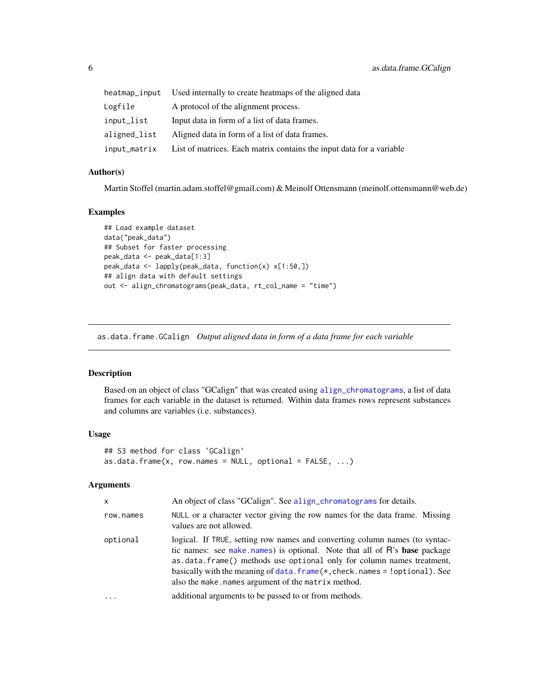<span id="page-5-0"></span>

| heatmap_input | Used internally to create heatmaps of the aligned data               |
|---------------|----------------------------------------------------------------------|
| Logfile       | A protocol of the alignment process.                                 |
| input_list    | Input data in form of a list of data frames.                         |
| aligned_list  | Aligned data in form of a list of data frames.                       |
| input_matrix  | List of matrices. Each matrix contains the input data for a variable |

## Author(s)

Martin Stoffel (martin.adam.stoffel@gmail.com) & Meinolf Ottensmann (meinolf.ottensmann@web.de)

#### Examples

```
## Load example dataset
data("peak_data")
## Subset for faster processing
peak_data <- peak_data[1:3]
peak_data <- lapply(peak_data, function(x) x[1:50,])
## align data with default settings
out <- align_chromatograms(peak_data, rt_col_name = "time")
```
<span id="page-5-1"></span>as.data.frame.GCalign *Output aligned data in form of a data frame for each variable*

## Description

Based on an object of class "GCalign" that was created using [align\\_chromatograms](#page-2-1), a list of data frames for each variable in the dataset is returned. Within data frames rows represent substances and columns are variables (i.e. substances).

## Usage

```
## S3 method for class 'GCalign'
as.data.frame(x, row.names = NULL, optional = FALSE, ...)
```

| $\mathsf{x}$ | An object of class "GCalign". See align_chromatograms for details.                                                                                                                                                                                                                                                                                                             |
|--------------|--------------------------------------------------------------------------------------------------------------------------------------------------------------------------------------------------------------------------------------------------------------------------------------------------------------------------------------------------------------------------------|
| row.names    | NULL or a character vector giving the row names for the data frame. Missing<br>values are not allowed.                                                                                                                                                                                                                                                                         |
| optional     | logical. If TRUE, setting row names and converting column names (to syntac-<br>tic names: see make names) is optional. Note that all of R's base package<br>as data. frame() methods use optional only for column names treatment,<br>basically with the meaning of $data$ . $frame(*, check. names = !optional)$ . See<br>also the make, names argument of the matrix method. |
| $\cdots$     | additional arguments to be passed to or from methods.                                                                                                                                                                                                                                                                                                                          |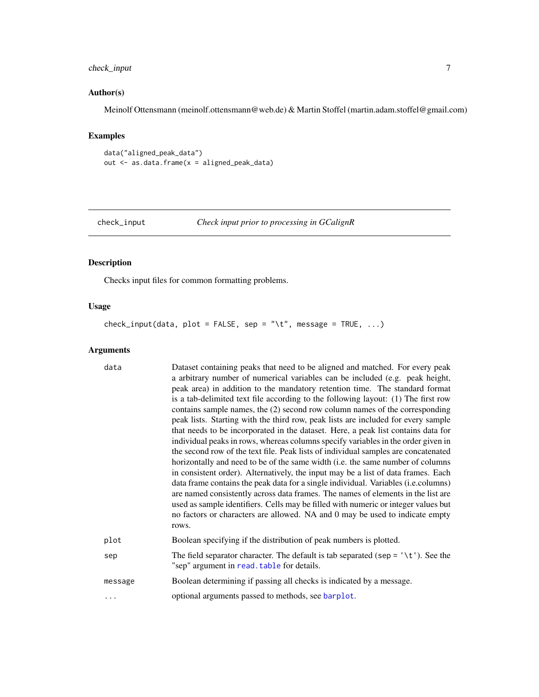# <span id="page-6-0"></span>check\_input 7

# Author(s)

Meinolf Ottensmann (meinolf.ottensmann@web.de) & Martin Stoffel (martin.adam.stoffel@gmail.com)

## Examples

```
data("aligned_peak_data")
out <- as.data.frame(x = aligned_peak_data)
```

```
check_input Check input prior to processing in GCalignR
```
## Description

Checks input files for common formatting problems.

## Usage

check\_input(data, plot = FALSE, sep = "\t", message = TRUE, ...)

| data    | Dataset containing peaks that need to be aligned and matched. For every peak<br>a arbitrary number of numerical variables can be included (e.g. peak height,<br>peak area) in addition to the mandatory retention time. The standard format<br>is a tab-delimited text file according to the following layout: (1) The first row<br>contains sample names, the (2) second row column names of the corresponding<br>peak lists. Starting with the third row, peak lists are included for every sample<br>that needs to be incorporated in the dataset. Here, a peak list contains data for<br>individual peaks in rows, whereas columns specify variables in the order given in<br>the second row of the text file. Peak lists of individual samples are concatenated<br>horizontally and need to be of the same width (i.e. the same number of columns<br>in consistent order). Alternatively, the input may be a list of data frames. Each<br>data frame contains the peak data for a single individual. Variables (i.e.columns)<br>are named consistently across data frames. The names of elements in the list are<br>used as sample identifiers. Cells may be filled with numeric or integer values but<br>no factors or characters are allowed. NA and 0 may be used to indicate empty<br>rows. |
|---------|------------------------------------------------------------------------------------------------------------------------------------------------------------------------------------------------------------------------------------------------------------------------------------------------------------------------------------------------------------------------------------------------------------------------------------------------------------------------------------------------------------------------------------------------------------------------------------------------------------------------------------------------------------------------------------------------------------------------------------------------------------------------------------------------------------------------------------------------------------------------------------------------------------------------------------------------------------------------------------------------------------------------------------------------------------------------------------------------------------------------------------------------------------------------------------------------------------------------------------------------------------------------------------------------------|
| plot    | Boolean specifying if the distribution of peak numbers is plotted.                                                                                                                                                                                                                                                                                                                                                                                                                                                                                                                                                                                                                                                                                                                                                                                                                                                                                                                                                                                                                                                                                                                                                                                                                                   |
| sep     | The field separator character. The default is tab separated (sep = $\forall t$ ). See the<br>"sep" argument in read. table for details.                                                                                                                                                                                                                                                                                                                                                                                                                                                                                                                                                                                                                                                                                                                                                                                                                                                                                                                                                                                                                                                                                                                                                              |
| message | Boolean determining if passing all checks is indicated by a message.                                                                                                                                                                                                                                                                                                                                                                                                                                                                                                                                                                                                                                                                                                                                                                                                                                                                                                                                                                                                                                                                                                                                                                                                                                 |
| .       | optional arguments passed to methods, see barplot.                                                                                                                                                                                                                                                                                                                                                                                                                                                                                                                                                                                                                                                                                                                                                                                                                                                                                                                                                                                                                                                                                                                                                                                                                                                   |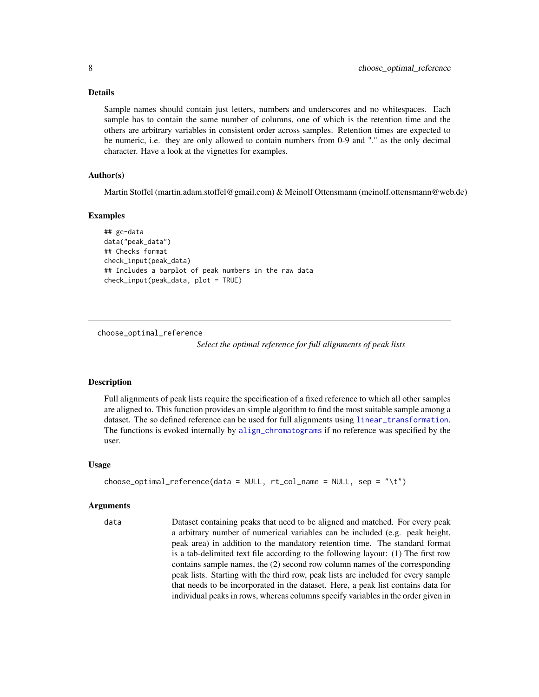## <span id="page-7-0"></span>Details

Sample names should contain just letters, numbers and underscores and no whitespaces. Each sample has to contain the same number of columns, one of which is the retention time and the others are arbitrary variables in consistent order across samples. Retention times are expected to be numeric, i.e. they are only allowed to contain numbers from 0-9 and "." as the only decimal character. Have a look at the vignettes for examples.

## Author(s)

Martin Stoffel (martin.adam.stoffel@gmail.com) & Meinolf Ottensmann (meinolf.ottensmann@web.de)

#### Examples

```
## gc-data
data("peak_data")
## Checks format
check_input(peak_data)
## Includes a barplot of peak numbers in the raw data
check_input(peak_data, plot = TRUE)
```

```
choose_optimal_reference
```
*Select the optimal reference for full alignments of peak lists*

## **Description**

Full alignments of peak lists require the specification of a fixed reference to which all other samples are aligned to. This function provides an simple algorithm to find the most suitable sample among a dataset. The so defined reference can be used for full alignments using [linear\\_transformation](#page-14-1). The functions is evoked internally by [align\\_chromatograms](#page-2-1) if no reference was specified by the user.

## Usage

```
choose_optimal_reference(data = NULL, rt_col_name = NULL, sep = "\t")
```
#### Arguments

data Dataset containing peaks that need to be aligned and matched. For every peak a arbitrary number of numerical variables can be included (e.g. peak height, peak area) in addition to the mandatory retention time. The standard format is a tab-delimited text file according to the following layout: (1) The first row contains sample names, the (2) second row column names of the corresponding peak lists. Starting with the third row, peak lists are included for every sample that needs to be incorporated in the dataset. Here, a peak list contains data for individual peaks in rows, whereas columns specify variables in the order given in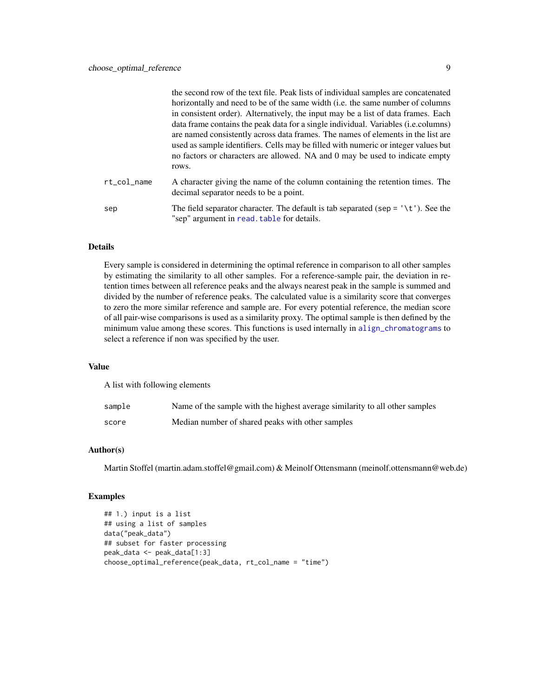<span id="page-8-0"></span>

|             | the second row of the text file. Peak lists of individual samples are concatenated<br>horizontally and need to be of the same width (i.e. the same number of columns                                                                                                                                                                                                                                                                                |
|-------------|-----------------------------------------------------------------------------------------------------------------------------------------------------------------------------------------------------------------------------------------------------------------------------------------------------------------------------------------------------------------------------------------------------------------------------------------------------|
|             | in consistent order). Alternatively, the input may be a list of data frames. Each<br>data frame contains the peak data for a single individual. Variables ( <i>i.e.columns</i> )<br>are named consistently across data frames. The names of elements in the list are<br>used as sample identifiers. Cells may be filled with numeric or integer values but<br>no factors or characters are allowed. NA and 0 may be used to indicate empty<br>rows. |
| rt col name | A character giving the name of the column containing the retention times. The<br>decimal separator needs to be a point.                                                                                                                                                                                                                                                                                                                             |
| sep         | The field separator character. The default is tab separated (sep = $\lceil \cdot \lceil \cdot \rceil \rceil$ ). See the<br>"sep" argument in read. table for details.                                                                                                                                                                                                                                                                               |

## Details

Every sample is considered in determining the optimal reference in comparison to all other samples by estimating the similarity to all other samples. For a reference-sample pair, the deviation in retention times between all reference peaks and the always nearest peak in the sample is summed and divided by the number of reference peaks. The calculated value is a similarity score that converges to zero the more similar reference and sample are. For every potential reference, the median score of all pair-wise comparisons is used as a similarity proxy. The optimal sample is then defined by the minimum value among these scores. This functions is used internally in [align\\_chromatograms](#page-2-1) to select a reference if non was specified by the user.

#### Value

A list with following elements

| sample | Name of the sample with the highest average similarity to all other samples |
|--------|-----------------------------------------------------------------------------|
| score  | Median number of shared peaks with other samples                            |

## Author(s)

Martin Stoffel (martin.adam.stoffel@gmail.com) & Meinolf Ottensmann (meinolf.ottensmann@web.de)

```
## 1.) input is a list
## using a list of samples
data("peak_data")
## subset for faster processing
peak_data <- peak_data[1:3]
choose_optimal_reference(peak_data, rt_col_name = "time")
```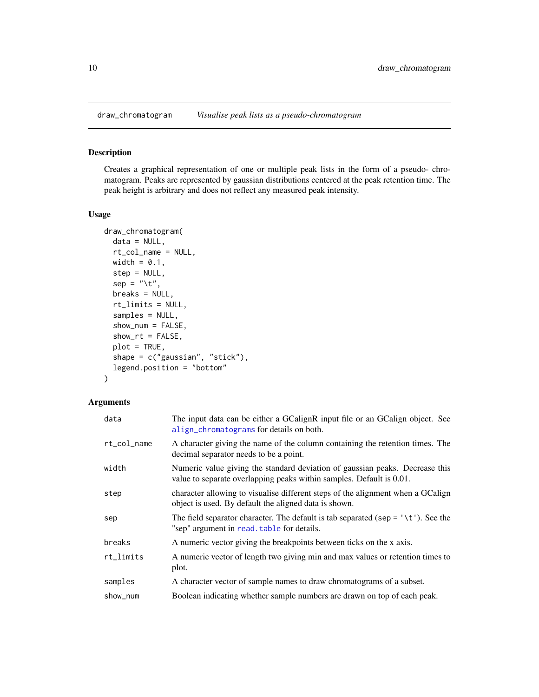<span id="page-9-1"></span><span id="page-9-0"></span>

## Description

Creates a graphical representation of one or multiple peak lists in the form of a pseudo- chromatogram. Peaks are represented by gaussian distributions centered at the peak retention time. The peak height is arbitrary and does not reflect any measured peak intensity.

## Usage

```
draw_chromatogram(
  data = NULL,rt_col_name = NULL,
 width = 0.1,
  step = NULL,
  sep = "\t",
 breaks = NULL,
  rt_limits = NULL,
  samples = NULL,
  show_num = FALSE,
  show_r t = FALSE,plot = TRUE,
  shape = c("gaussian", "stick"),
  legend.position = "bottom"
)
```

| data                     | The input data can be either a GCalignR input file or an GCalign object. See<br>align_chromatograms for details on both.                             |
|--------------------------|------------------------------------------------------------------------------------------------------------------------------------------------------|
| rt_col_name              | A character giving the name of the column containing the retention times. The<br>decimal separator needs to be a point.                              |
| width                    | Numeric value giving the standard deviation of gaussian peaks. Decrease this<br>value to separate overlapping peaks within samples. Default is 0.01. |
| step                     | character allowing to visualise different steps of the alignment when a GCalign<br>object is used. By default the aligned data is shown.             |
| sep                      | The field separator character. The default is tab separated (sep = $\forall t'$ ). See the<br>"sep" argument in read. table for details.             |
| breaks                   | A numeric vector giving the breakpoints between ticks on the x axis.                                                                                 |
| $rt$ <sub>-</sub> limits | A numeric vector of length two giving min and max values or retention times to<br>plot.                                                              |
| samples                  | A character vector of sample names to draw chromatograms of a subset.                                                                                |
| show_num                 | Boolean indicating whether sample numbers are drawn on top of each peak.                                                                             |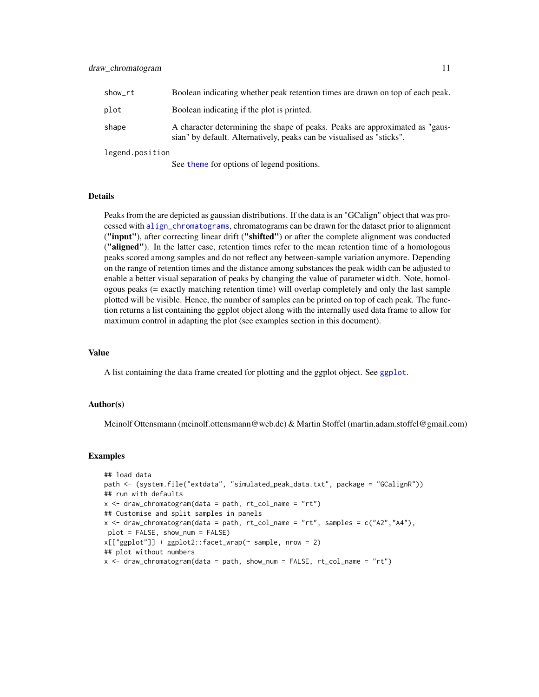<span id="page-10-0"></span>

| show_rt | Boolean indicating whether peak retention times are drawn on top of each peak.                                                                        |
|---------|-------------------------------------------------------------------------------------------------------------------------------------------------------|
| plot    | Boolean indicating if the plot is printed.                                                                                                            |
| shape   | A character determining the shape of peaks. Peaks are approximated as "gaus-<br>sian" by default. Alternatively, peaks can be visualised as "sticks". |
|         |                                                                                                                                                       |

legend.position

See [theme](#page-0-0) for options of legend positions.

#### **Details**

Peaks from the are depicted as gaussian distributions. If the data is an "GCalign" object that was processed with [align\\_chromatograms](#page-2-1), chromatograms can be drawn for the dataset prior to alignment ("input"), after correcting linear drift ("shifted") or after the complete alignment was conducted ("aligned"). In the latter case, retention times refer to the mean retention time of a homologous peaks scored among samples and do not reflect any between-sample variation anymore. Depending on the range of retention times and the distance among substances the peak width can be adjusted to enable a better visual separation of peaks by changing the value of parameter width. Note, homologous peaks (= exactly matching retention time) will overlap completely and only the last sample plotted will be visible. Hence, the number of samples can be printed on top of each peak. The function returns a list containing the ggplot object along with the internally used data frame to allow for maximum control in adapting the plot (see examples section in this document).

## Value

A list containing the data frame created for plotting and the ggplot object. See [ggplot](#page-0-0).

#### Author(s)

Meinolf Ottensmann (meinolf.ottensmann@web.de) & Martin Stoffel (martin.adam.stoffel@gmail.com)

```
## load data
path <- (system.file("extdata", "simulated_peak_data.txt", package = "GCalignR"))
## run with defaults
x \le - draw_chromatogram(data = path, rt_{col\_name} = "rt")
## Customise and split samples in panels
x \leq - draw_chromatogram(data = path, rt_col_name = "rt", samples = c("A2", "A4"),
plot = FALSE, show_num = FALSE)
x[["ggplot"]] + ggplot2::facet_wrap(~ sample, nrow = 2)
## plot without numbers
x <- draw_chromatogram(data = path, show_num = FALSE, rt_col_name = "rt")
```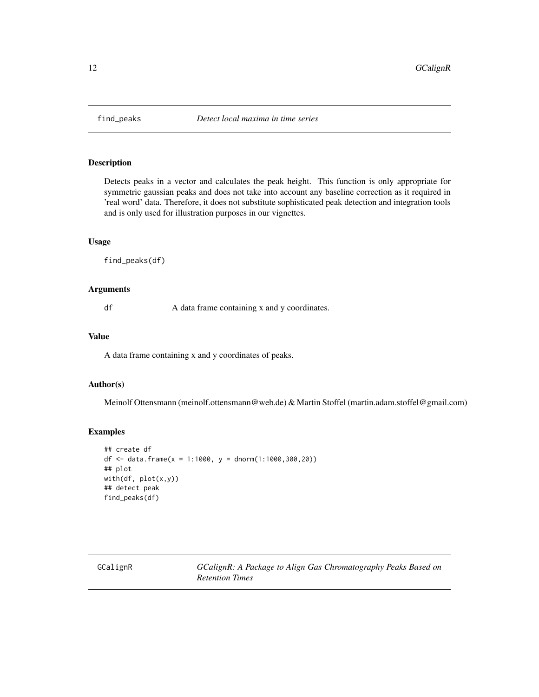<span id="page-11-2"></span><span id="page-11-0"></span>

#### Description

Detects peaks in a vector and calculates the peak height. This function is only appropriate for symmetric gaussian peaks and does not take into account any baseline correction as it required in 'real word' data. Therefore, it does not substitute sophisticated peak detection and integration tools and is only used for illustration purposes in our vignettes.

## Usage

find\_peaks(df)

## Arguments

df A data frame containing x and y coordinates.

#### Value

A data frame containing x and y coordinates of peaks.

## Author(s)

Meinolf Ottensmann (meinolf.ottensmann@web.de) & Martin Stoffel (martin.adam.stoffel@gmail.com)

## Examples

```
## create df
df <- data.frame(x = 1:1000, y = dnorm(1:1000,300,20))
## plot
with(df, plot(x,y))
## detect peak
find_peaks(df)
```
<span id="page-11-1"></span>GCalignR *GCalignR: A Package to Align Gas Chromatography Peaks Based on Retention Times*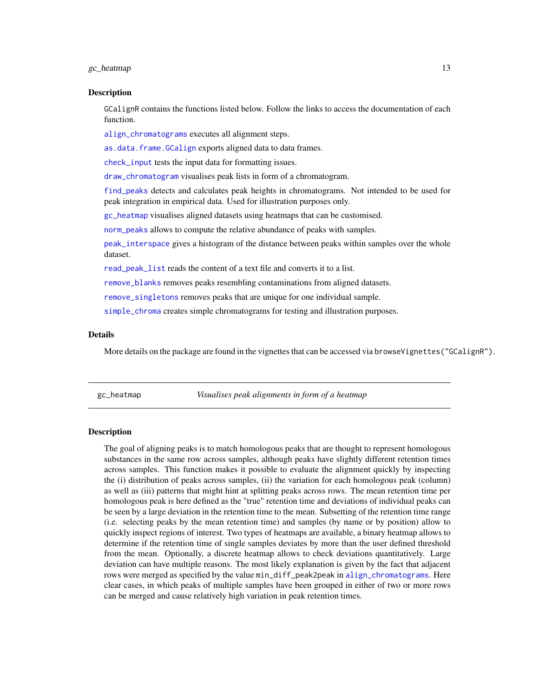### <span id="page-12-0"></span> $\text{g}$ c\_heatmap 13

#### Description

GCalignR contains the functions listed below. Follow the links to access the documentation of each function.

[align\\_chromatograms](#page-2-1) executes all alignment steps.

[as.data.frame.GCalign](#page-5-1) exports aligned data to data frames.

[check\\_input](#page-6-1) tests the input data for formatting issues.

[draw\\_chromatogram](#page-9-1) visualises peak lists in form of a chromatogram.

[find\\_peaks](#page-11-2) detects and calculates peak heights in chromatograms. Not intended to be used for peak integration in empirical data. Used for illustration purposes only.

[gc\\_heatmap](#page-12-1) visualises aligned datasets using heatmaps that can be customised.

[norm\\_peaks](#page-17-1) allows to compute the relative abundance of peaks with samples.

[peak\\_interspace](#page-19-1) gives a histogram of the distance between peaks within samples over the whole dataset.

[read\\_peak\\_list](#page-23-1) reads the content of a text file and converts it to a list.

[remove\\_blanks](#page-23-2) removes peaks resembling contaminations from aligned datasets.

[remove\\_singletons](#page-24-1) removes peaks that are unique for one individual sample.

[simple\\_chroma](#page-25-1) creates simple chromatograms for testing and illustration purposes.

#### Details

More details on the package are found in the vignettes that can be accessed via browseVignettes("GCalignR").

<span id="page-12-1"></span>gc\_heatmap *Visualises peak alignments in form of a heatmap*

#### **Description**

The goal of aligning peaks is to match homologous peaks that are thought to represent homologous substances in the same row across samples, although peaks have slightly different retention times across samples. This function makes it possible to evaluate the alignment quickly by inspecting the (i) distribution of peaks across samples, (ii) the variation for each homologous peak (column) as well as (iii) patterns that might hint at splitting peaks across rows. The mean retention time per homologous peak is here defined as the "true" retention time and deviations of individual peaks can be seen by a large deviation in the retention time to the mean. Subsetting of the retention time range (i.e. selecting peaks by the mean retention time) and samples (by name or by position) allow to quickly inspect regions of interest. Two types of heatmaps are available, a binary heatmap allows to determine if the retention time of single samples deviates by more than the user defined threshold from the mean. Optionally, a discrete heatmap allows to check deviations quantitatively. Large deviation can have multiple reasons. The most likely explanation is given by the fact that adjacent rows were merged as specified by the value min\_diff\_peak2peak in [align\\_chromatograms](#page-2-1). Here clear cases, in which peaks of multiple samples have been grouped in either of two or more rows can be merged and cause relatively high variation in peak retention times.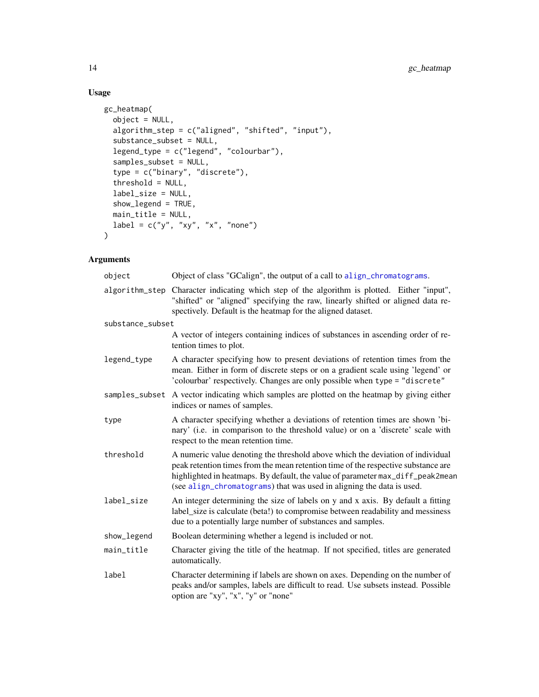# Usage

```
gc_heatmap(
  object = NULL,algorithm_step = c("aligned", "shifted", "input"),
  substance_subset = NULL,
  legend_type = c("legend", "colourbar"),
  samples_subset = NULL,
  type = c("binary", "discrete"),
  threshold = NULL,
  label_size = NULL,
  show_legend = TRUE,
  main_title = NULL,
  label = c("y", "xy", "x", "none")\mathcal{L}
```

| object           | Object of class "GCalign", the output of a call to align_chromatograms.                                                                                                                                                                                                                                                        |
|------------------|--------------------------------------------------------------------------------------------------------------------------------------------------------------------------------------------------------------------------------------------------------------------------------------------------------------------------------|
| algorithm_step   | Character indicating which step of the algorithm is plotted. Either "input",<br>"shifted" or "aligned" specifying the raw, linearly shifted or aligned data re-<br>spectively. Default is the heatmap for the aligned dataset.                                                                                                 |
| substance_subset |                                                                                                                                                                                                                                                                                                                                |
|                  | A vector of integers containing indices of substances in ascending order of re-<br>tention times to plot.                                                                                                                                                                                                                      |
| legend_type      | A character specifying how to present deviations of retention times from the<br>mean. Either in form of discrete steps or on a gradient scale using 'legend' or<br>'colourbar' respectively. Changes are only possible when type = "discrete"                                                                                  |
| samples_subset   | A vector indicating which samples are plotted on the heatmap by giving either<br>indices or names of samples.                                                                                                                                                                                                                  |
| type             | A character specifying whether a deviations of retention times are shown 'bi-<br>nary' (i.e. in comparison to the threshold value) or on a 'discrete' scale with<br>respect to the mean retention time.                                                                                                                        |
| threshold        | A numeric value denoting the threshold above which the deviation of individual<br>peak retention times from the mean retention time of the respective substance are<br>highlighted in heatmaps. By default, the value of parameter max_diff_peak2mean<br>(see align_chromatograms) that was used in aligning the data is used. |
| label_size       | An integer determining the size of labels on y and x axis. By default a fitting<br>label_size is calculate (beta!) to compromise between readability and messiness<br>due to a potentially large number of substances and samples.                                                                                             |
| show_legend      | Boolean determining whether a legend is included or not.                                                                                                                                                                                                                                                                       |
| main_title       | Character giving the title of the heatmap. If not specified, titles are generated<br>automatically.                                                                                                                                                                                                                            |
| label            | Character determining if labels are shown on axes. Depending on the number of<br>peaks and/or samples, labels are difficult to read. Use subsets instead. Possible<br>option are "xy", "x", "y" or "none"                                                                                                                      |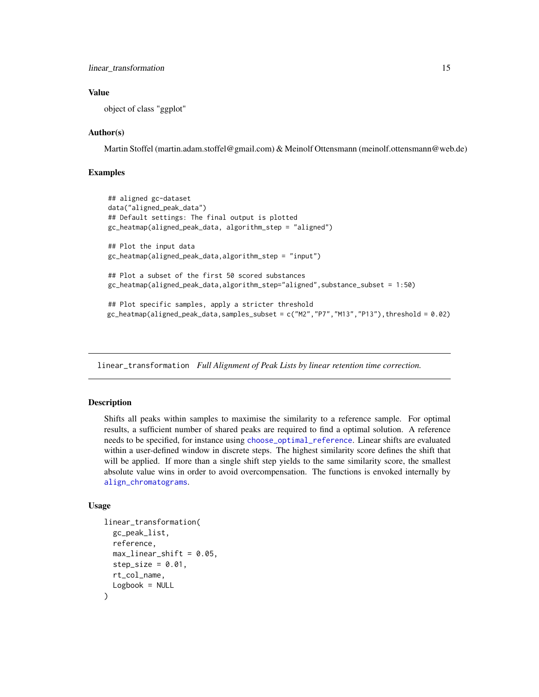### <span id="page-14-0"></span>Value

object of class "ggplot"

## Author(s)

Martin Stoffel (martin.adam.stoffel@gmail.com) & Meinolf Ottensmann (meinolf.ottensmann@web.de)

## Examples

```
## aligned gc-dataset
data("aligned_peak_data")
## Default settings: The final output is plotted
gc_heatmap(aligned_peak_data, algorithm_step = "aligned")
## Plot the input data
gc_heatmap(aligned_peak_data,algorithm_step = "input")
## Plot a subset of the first 50 scored substances
gc_heatmap(aligned_peak_data,algorithm_step="aligned",substance_subset = 1:50)
## Plot specific samples, apply a stricter threshold
gc_heatmap(aligned_peak_data,samples_subset = c("M2","P7","M13","P13"),threshold = 0.02)
```
<span id="page-14-1"></span>linear\_transformation *Full Alignment of Peak Lists by linear retention time correction.*

## Description

Shifts all peaks within samples to maximise the similarity to a reference sample. For optimal results, a sufficient number of shared peaks are required to find a optimal solution. A reference needs to be specified, for instance using [choose\\_optimal\\_reference](#page-7-1). Linear shifts are evaluated within a user-defined window in discrete steps. The highest similarity score defines the shift that will be applied. If more than a single shift step yields to the same similarity score, the smallest absolute value wins in order to avoid overcompensation. The functions is envoked internally by [align\\_chromatograms](#page-2-1).

## Usage

```
linear_transformation(
  gc_peak_list,
  reference,
 max-linear_shift = 0.05,
  step_size = 0.01,
  rt_col_name,
  Logbook = NULL
)
```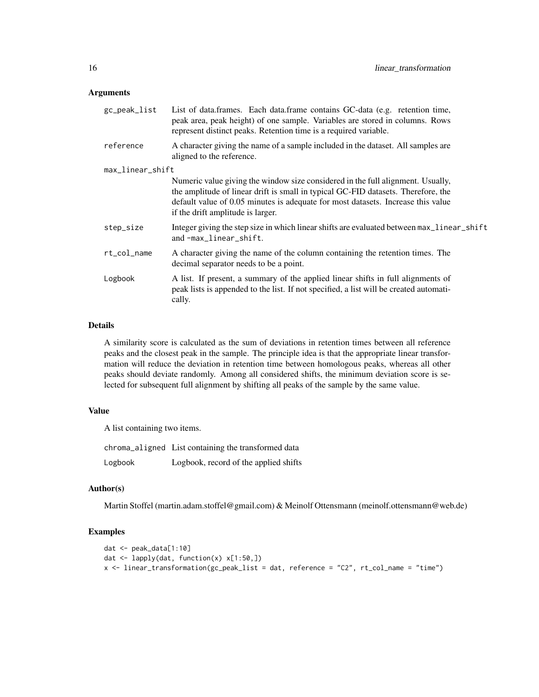#### Arguments

| gc_peak_list     | List of data.frames. Each data.frame contains GC-data (e.g. retention time,<br>peak area, peak height) of one sample. Variables are stored in columns. Rows<br>represent distinct peaks. Retention time is a required variable.                                                               |
|------------------|-----------------------------------------------------------------------------------------------------------------------------------------------------------------------------------------------------------------------------------------------------------------------------------------------|
| reference        | A character giving the name of a sample included in the dataset. All samples are<br>aligned to the reference.                                                                                                                                                                                 |
| max_linear_shift |                                                                                                                                                                                                                                                                                               |
|                  | Numeric value giving the window size considered in the full alignment. Usually,<br>the amplitude of linear drift is small in typical GC-FID datasets. Therefore, the<br>default value of 0.05 minutes is adequate for most datasets. Increase this value<br>if the drift amplitude is larger. |
| step_size        | Integer giving the step size in which linear shifts are evaluated between max_linear_shift<br>and-max_linear_shift.                                                                                                                                                                           |
| rt_col_name      | A character giving the name of the column containing the retention times. The<br>decimal separator needs to be a point.                                                                                                                                                                       |
| Logbook          | A list. If present, a summary of the applied linear shifts in full alignments of<br>peak lists is appended to the list. If not specified, a list will be created automati-<br>cally.                                                                                                          |
|                  |                                                                                                                                                                                                                                                                                               |

## Details

A similarity score is calculated as the sum of deviations in retention times between all reference peaks and the closest peak in the sample. The principle idea is that the appropriate linear transformation will reduce the deviation in retention time between homologous peaks, whereas all other peaks should deviate randomly. Among all considered shifts, the minimum deviation score is selected for subsequent full alignment by shifting all peaks of the sample by the same value.

#### Value

A list containing two items.

chroma\_aligned List containing the transformed data Logbook Logbook, record of the applied shifts

## Author(s)

Martin Stoffel (martin.adam.stoffel@gmail.com) & Meinolf Ottensmann (meinolf.ottensmann@web.de)

```
dat <- peak_data[1:10]
dat <- lapply(dat, function(x) x[1:50,])
x <- linear_transformation(gc_peak_list = dat, reference = "C2", rt_col_name = "time")
```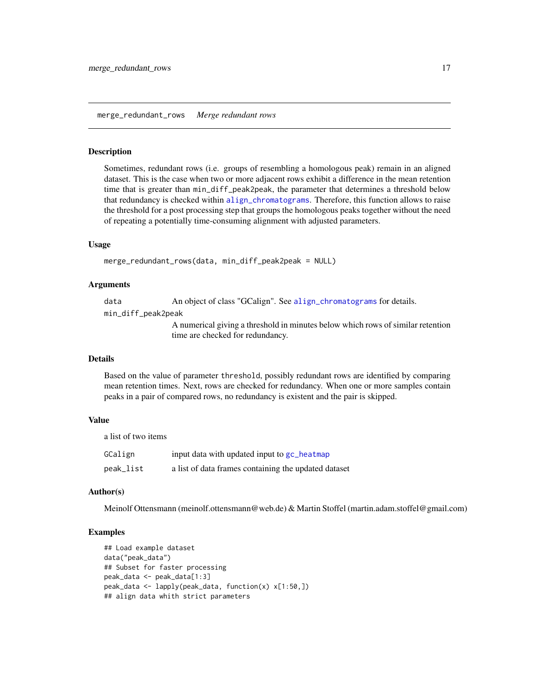#### <span id="page-16-0"></span>Description

Sometimes, redundant rows (i.e. groups of resembling a homologous peak) remain in an aligned dataset. This is the case when two or more adjacent rows exhibit a difference in the mean retention time that is greater than min\_diff\_peak2peak, the parameter that determines a threshold below that redundancy is checked within [align\\_chromatograms](#page-2-1). Therefore, this function allows to raise the threshold for a post processing step that groups the homologous peaks together without the need of repeating a potentially time-consuming alignment with adjusted parameters.

## Usage

```
merge_redundant_rows(data, min_diff_peak2peak = NULL)
```
#### Arguments

data An object of class "GCalign". See [align\\_chromatograms](#page-2-1) for details.

min\_diff\_peak2peak

A numerical giving a threshold in minutes below which rows of similar retention time are checked for redundancy.

## Details

Based on the value of parameter threshold, possibly redundant rows are identified by comparing mean retention times. Next, rows are checked for redundancy. When one or more samples contain peaks in a pair of compared rows, no redundancy is existent and the pair is skipped.

#### Value

a list of two items

| GCalign   | input data with updated input to gc_heatmap          |
|-----------|------------------------------------------------------|
| peak_list | a list of data frames containing the updated dataset |

### Author(s)

Meinolf Ottensmann (meinolf.ottensmann@web.de) & Martin Stoffel (martin.adam.stoffel@gmail.com)

```
## Load example dataset
data("peak_data")
## Subset for faster processing
peak_data <- peak_data[1:3]
peak_data <- lapply(peak_data, function(x) x[1:50,])
## align data whith strict parameters
```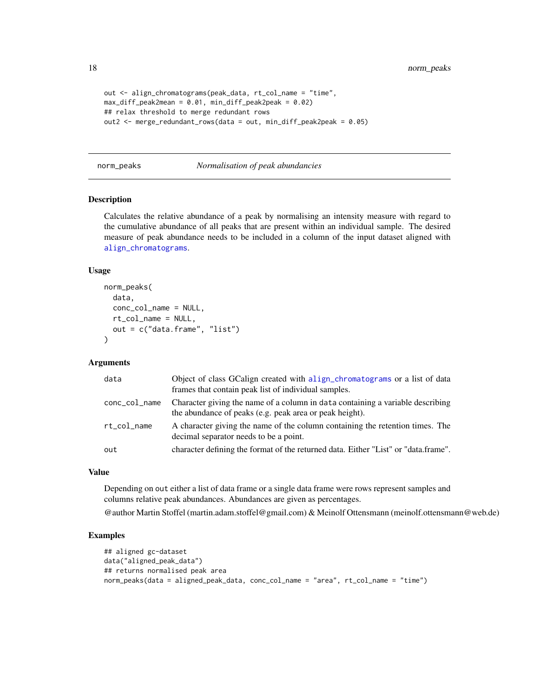<span id="page-17-0"></span>18 norm\_peaks

```
out <- align_chromatograms(peak_data, rt_col_name = "time",
max_diff_peak2mean = 0.01, min_diff_peak2peak = 0.02)
## relax threshold to merge redundant rows
out2 <- merge_redundant_rows(data = out, min_diff_peak2peak = 0.05)
```
#### <span id="page-17-1"></span>norm\_peaks *Normalisation of peak abundancies*

#### Description

Calculates the relative abundance of a peak by normalising an intensity measure with regard to the cumulative abundance of all peaks that are present within an individual sample. The desired measure of peak abundance needs to be included in a column of the input dataset aligned with [align\\_chromatograms](#page-2-1).

## Usage

```
norm_peaks(
  data,
  conc_col_name = NULL,
  rt_col_name = NULL,
  out = c("data.frame", "list")
)
```
## Arguments

| data          | Object of class GCalign created with a lign_chromatograms or a list of data<br>frames that contain peak list of individual samples.       |
|---------------|-------------------------------------------------------------------------------------------------------------------------------------------|
| conc_col_name | Character giving the name of a column in data containing a variable describing<br>the abundance of peaks (e.g. peak area or peak height). |
| rt_col_name   | A character giving the name of the column containing the retention times. The<br>decimal separator needs to be a point.                   |
| out           | character defining the format of the returned data. Either "List" or "data.frame".                                                        |

## Value

Depending on out either a list of data frame or a single data frame were rows represent samples and columns relative peak abundances. Abundances are given as percentages.

@author Martin Stoffel (martin.adam.stoffel@gmail.com) & Meinolf Ottensmann (meinolf.ottensmann@web.de)

```
## aligned gc-dataset
data("aligned_peak_data")
## returns normalised peak area
norm_peaks(data = aligned_peak_data, conc_col_name = "area", rt_col_name = "time")
```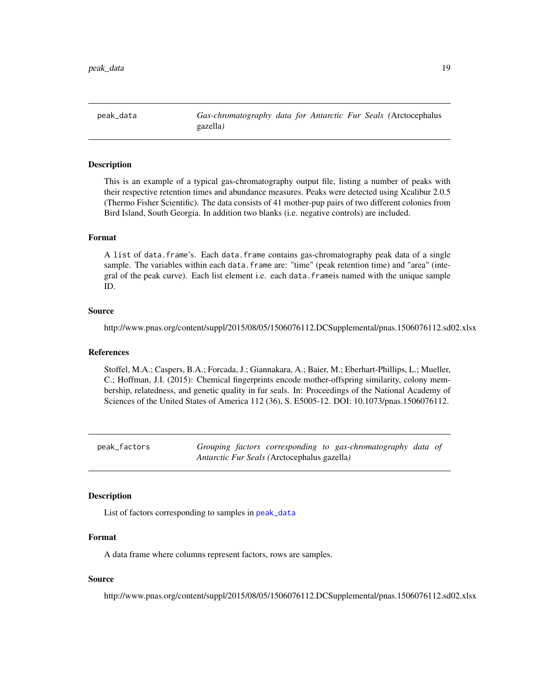<span id="page-18-1"></span><span id="page-18-0"></span>peak\_data *Gas-chromatography data for Antarctic Fur Seals (*Arctocephalus gazella*)*

## Description

This is an example of a typical gas-chromatography output file, listing a number of peaks with their respective retention times and abundance measures. Peaks were detected using Xcalibur 2.0.5 (Thermo Fisher Scientific). The data consists of 41 mother-pup pairs of two different colonies from Bird Island, South Georgia. In addition two blanks (i.e. negative controls) are included.

## Format

A list of data.frame's. Each data.frame contains gas-chromatography peak data of a single sample. The variables within each data.frame are: "time" (peak retention time) and "area" (integral of the peak curve). Each list element i.e. each data.frameis named with the unique sample ID.

#### Source

http://www.pnas.org/content/suppl/2015/08/05/1506076112.DCSupplemental/pnas.1506076112.sd02.xlsx

#### References

Stoffel, M.A.; Caspers, B.A.; Forcada, J.; Giannakara, A.; Baier, M.; Eberhart-Phillips, L.; Mueller, C.; Hoffman, J.I. (2015): Chemical fingerprints encode mother-offspring similarity, colony membership, relatedness, and genetic quality in fur seals. In: Proceedings of the National Academy of Sciences of the United States of America 112 (36), S. E5005-12. DOI: 10.1073/pnas.1506076112.

peak\_factors *Grouping factors corresponding to gas-chromatography data of Antarctic Fur Seals (*Arctocephalus gazella*)*

#### **Description**

List of factors corresponding to samples in [peak\\_data](#page-18-1)

## Format

A data frame where columns represent factors, rows are samples.

### Source

http://www.pnas.org/content/suppl/2015/08/05/1506076112.DCSupplemental/pnas.1506076112.sd02.xlsx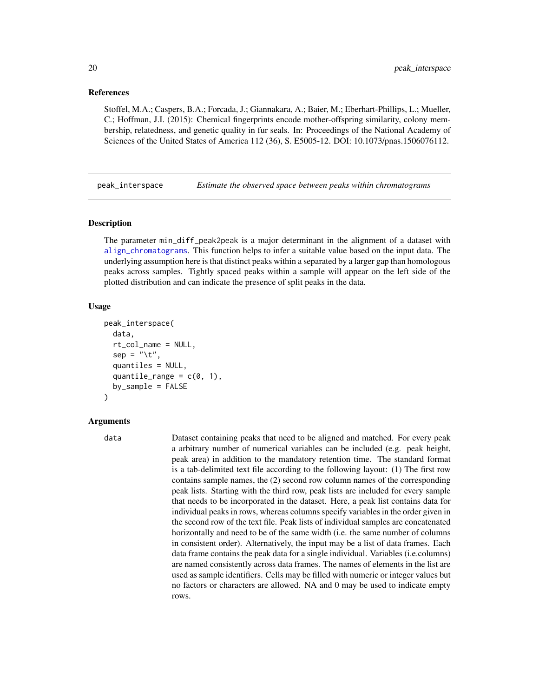## <span id="page-19-0"></span>References

Stoffel, M.A.; Caspers, B.A.; Forcada, J.; Giannakara, A.; Baier, M.; Eberhart-Phillips, L.; Mueller, C.; Hoffman, J.I. (2015): Chemical fingerprints encode mother-offspring similarity, colony membership, relatedness, and genetic quality in fur seals. In: Proceedings of the National Academy of Sciences of the United States of America 112 (36), S. E5005-12. DOI: 10.1073/pnas.1506076112.

<span id="page-19-1"></span>peak\_interspace *Estimate the observed space between peaks within chromatograms*

## **Description**

The parameter min\_diff\_peak2peak is a major determinant in the alignment of a dataset with [align\\_chromatograms](#page-2-1). This function helps to infer a suitable value based on the input data. The underlying assumption here is that distinct peaks within a separated by a larger gap than homologous peaks across samples. Tightly spaced peaks within a sample will appear on the left side of the plotted distribution and can indicate the presence of split peaks in the data.

## Usage

```
peak_interspace(
  data,
  rt_col_name = NULL,
  sep = "\t",
  quantiles = NULL,
  quantile_range = c(0, 1),
  by_sample = FALSE
)
```
## Arguments

data Dataset containing peaks that need to be aligned and matched. For every peak a arbitrary number of numerical variables can be included (e.g. peak height, peak area) in addition to the mandatory retention time. The standard format is a tab-delimited text file according to the following layout: (1) The first row contains sample names, the (2) second row column names of the corresponding peak lists. Starting with the third row, peak lists are included for every sample that needs to be incorporated in the dataset. Here, a peak list contains data for individual peaks in rows, whereas columns specify variables in the order given in the second row of the text file. Peak lists of individual samples are concatenated horizontally and need to be of the same width (i.e. the same number of columns in consistent order). Alternatively, the input may be a list of data frames. Each data frame contains the peak data for a single individual. Variables (i.e.columns) are named consistently across data frames. The names of elements in the list are used as sample identifiers. Cells may be filled with numeric or integer values but no factors or characters are allowed. NA and 0 may be used to indicate empty rows.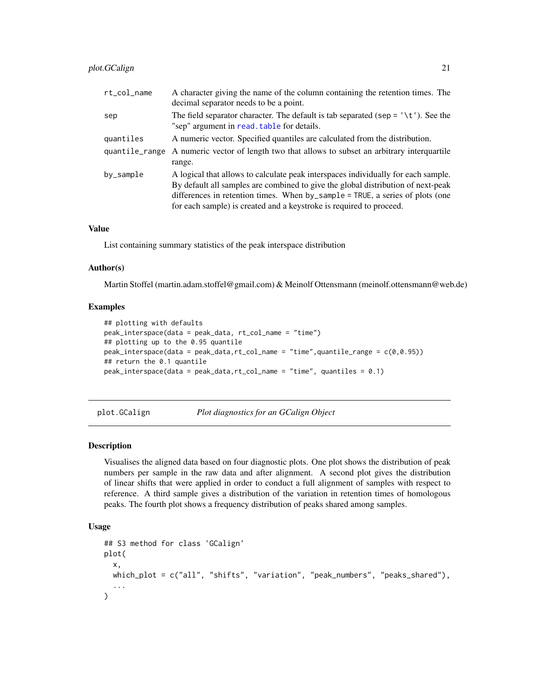<span id="page-20-0"></span>

| rt_col_name    | A character giving the name of the column containing the retention times. The<br>decimal separator needs to be a point.                 |
|----------------|-----------------------------------------------------------------------------------------------------------------------------------------|
| sep            | The field separator character. The default is tab separated (sep = $\forall t$ ). See the<br>"sep" argument in read. table for details. |
| quantiles      | A numeric vector. Specified quantiles are calculated from the distribution.                                                             |
| quantile_range | A numeric vector of length two that allows to subset an arbitrary interquartile                                                         |
|                | range.                                                                                                                                  |
| by_sample      | A logical that allows to calculate peak interspaces individually for each sample.                                                       |
|                | By default all samples are combined to give the global distribution of next-peak                                                        |
|                | differences in retention times. When by_sample = TRUE, a series of plots (one                                                           |
|                | for each sample) is created and a keystroke is required to proceed.                                                                     |

## Value

List containing summary statistics of the peak interspace distribution

## Author(s)

Martin Stoffel (martin.adam.stoffel@gmail.com) & Meinolf Ottensmann (meinolf.ottensmann@web.de)

#### Examples

```
## plotting with defaults
peak_interspace(data = peak_data, rt_col_name = "time")
## plotting up to the 0.95 quantile
peak_interspace(data = peak_data,rt_col_name = "time",quantile_range = c(0,0.95))
## return the 0.1 quantile
peak_interspace(data = peak_data,rt_col_name = "time", quantiles = 0.1)
```
#### plot.GCalign *Plot diagnostics for an GCalign Object*

#### Description

Visualises the aligned data based on four diagnostic plots. One plot shows the distribution of peak numbers per sample in the raw data and after alignment. A second plot gives the distribution of linear shifts that were applied in order to conduct a full alignment of samples with respect to reference. A third sample gives a distribution of the variation in retention times of homologous peaks. The fourth plot shows a frequency distribution of peaks shared among samples.

## Usage

```
## S3 method for class 'GCalign'
plot(
  x,
  which_plot = c("all", "shifts", "variation", "peak_numbers", "peaks_shared"),
  ...
)
```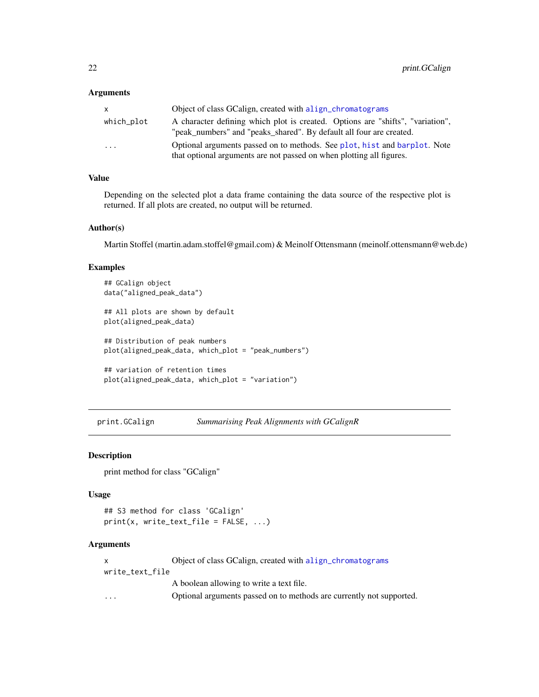#### <span id="page-21-0"></span>Arguments

| X                       | Object of class GCalign, created with align_chromatograms                                                                                             |
|-------------------------|-------------------------------------------------------------------------------------------------------------------------------------------------------|
| which_plot              | A character defining which plot is created. Options are "shifts", "variation",<br>"peak_numbers" and "peaks_shared". By default all four are created. |
| $\cdot$ $\cdot$ $\cdot$ | Optional arguments passed on to methods. See plot, hist and barplot. Note<br>that optional arguments are not passed on when plotting all figures.     |

## Value

Depending on the selected plot a data frame containing the data source of the respective plot is returned. If all plots are created, no output will be returned.

## Author(s)

Martin Stoffel (martin.adam.stoffel@gmail.com) & Meinolf Ottensmann (meinolf.ottensmann@web.de)

## Examples

```
## GCalign object
data("aligned_peak_data")
## All plots are shown by default
plot(aligned_peak_data)
## Distribution of peak numbers
plot(aligned_peak_data, which_plot = "peak_numbers")
## variation of retention times
plot(aligned_peak_data, which_plot = "variation")
```
<span id="page-21-1"></span>print.GCalign *Summarising Peak Alignments with GCalignR*

## Description

print method for class "GCalign"

#### Usage

```
## S3 method for class 'GCalign'
print(x, write\_text\_file = FALSE, ...)
```

|                         | Object of class GCalign, created with align_chromatograms            |
|-------------------------|----------------------------------------------------------------------|
| write_text_file         |                                                                      |
|                         | A boolean allowing to write a text file.                             |
| $\cdot$ $\cdot$ $\cdot$ | Optional arguments passed on to methods are currently not supported. |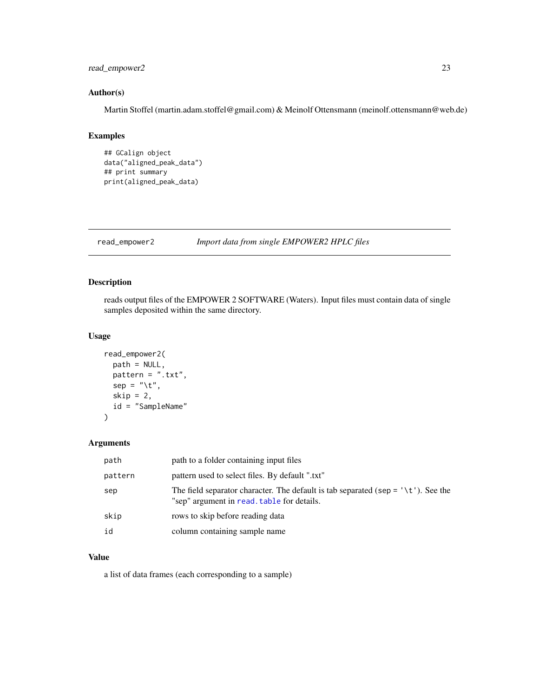## <span id="page-22-0"></span>read\_empower2 23

## Author(s)

Martin Stoffel (martin.adam.stoffel@gmail.com) & Meinolf Ottensmann (meinolf.ottensmann@web.de)

# Examples

```
## GCalign object
data("aligned_peak_data")
## print summary
print(aligned_peak_data)
```
read\_empower2 *Import data from single EMPOWER2 HPLC files*

## Description

reads output files of the EMPOWER 2 SOFTWARE (Waters). Input files must contain data of single samples deposited within the same directory.

## Usage

```
read_empower2(
  path = NULL,
  pattern = " . txt",
  sep = "\t",
  skip = 2,id = "SampleName"
\mathcal{E}
```
## Arguments

| path    | path to a folder containing input files                                                                                                  |
|---------|------------------------------------------------------------------------------------------------------------------------------------------|
| pattern | pattern used to select files. By default ".txt"                                                                                          |
| sep     | The field separator character. The default is tab separated (sep = $\forall t'$ ). See the<br>"sep" argument in read, table for details. |
| skip    | rows to skip before reading data                                                                                                         |
| id      | column containing sample name                                                                                                            |

## Value

a list of data frames (each corresponding to a sample)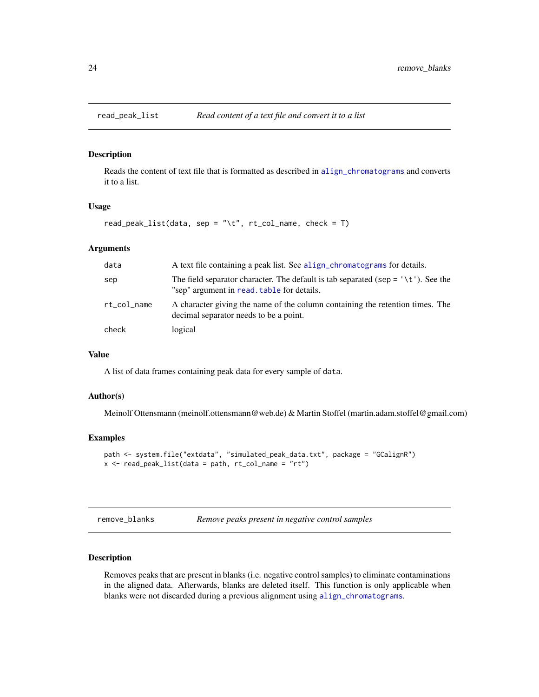<span id="page-23-1"></span><span id="page-23-0"></span>

## Description

Reads the content of text file that is formatted as described in [align\\_chromatograms](#page-2-1) and converts it to a list.

#### Usage

```
read_peak_list(data, sep = "\t", rt_col_name, check = T)
```
#### Arguments

| data        | A text file containing a peak list. See align_chromatograms for details.                                                                |
|-------------|-----------------------------------------------------------------------------------------------------------------------------------------|
| sep         | The field separator character. The default is tab separated (sep = $\forall t$ ). See the<br>"sep" argument in read, table for details. |
| rt_col_name | A character giving the name of the column containing the retention times. The<br>decimal separator needs to be a point.                 |
| check       | logical                                                                                                                                 |

## Value

A list of data frames containing peak data for every sample of data.

## Author(s)

Meinolf Ottensmann (meinolf.ottensmann@web.de) & Martin Stoffel (martin.adam.stoffel@gmail.com)

#### Examples

```
path <- system.file("extdata", "simulated_peak_data.txt", package = "GCalignR")
x \le read_peak_list(data = path, rt_{col\_name} = "rt")
```
<span id="page-23-2"></span>

| remove_blanks | Remove peaks present in negative control samples |  |
|---------------|--------------------------------------------------|--|
|               |                                                  |  |

## Description

Removes peaks that are present in blanks (i.e. negative control samples) to eliminate contaminations in the aligned data. Afterwards, blanks are deleted itself. This function is only applicable when blanks were not discarded during a previous alignment using [align\\_chromatograms](#page-2-1).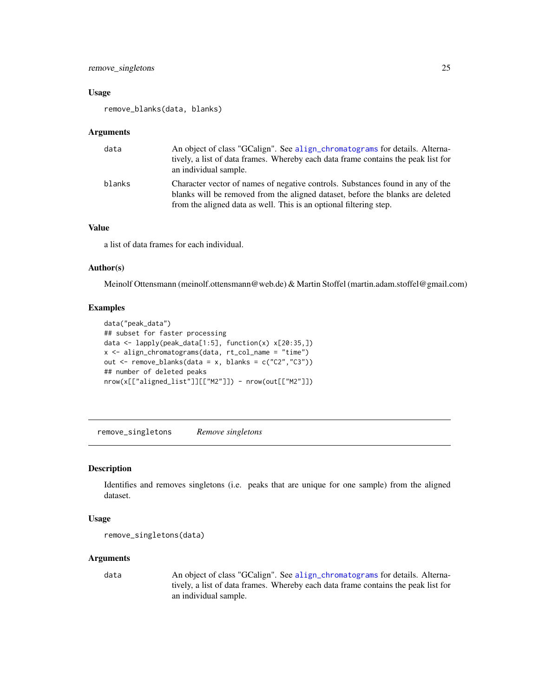#### <span id="page-24-0"></span>Usage

remove\_blanks(data, blanks)

#### Arguments

| data   | An object of class "GCalign". See align_chromatograms for details. Alterna-<br>tively, a list of data frames. Whereby each data frame contains the peak list for<br>an individual sample.                                              |
|--------|----------------------------------------------------------------------------------------------------------------------------------------------------------------------------------------------------------------------------------------|
| blanks | Character vector of names of negative controls. Substances found in any of the<br>blanks will be removed from the aligned dataset, before the blanks are deleted<br>from the aligned data as well. This is an optional filtering step. |

## Value

a list of data frames for each individual.

## Author(s)

Meinolf Ottensmann (meinolf.ottensmann@web.de) & Martin Stoffel (martin.adam.stoffel@gmail.com)

## Examples

```
data("peak_data")
## subset for faster processing
data <- lapply(peak_data[1:5], function(x) x[20:35,])
x <- align_chromatograms(data, rt_col_name = "time")
out \leq remove_blanks(data = x, blanks = c("C2","C3"))
## number of deleted peaks
nrow(x[["aligned_list"]][["M2"]]) - nrow(out[["M2"]])
```
<span id="page-24-1"></span>remove\_singletons *Remove singletons*

#### Description

Identifies and removes singletons (i.e. peaks that are unique for one sample) from the aligned dataset.

## Usage

```
remove_singletons(data)
```
## Arguments

data An object of class "GCalign". See [align\\_chromatograms](#page-2-1) for details. Alternatively, a list of data frames. Whereby each data frame contains the peak list for an individual sample.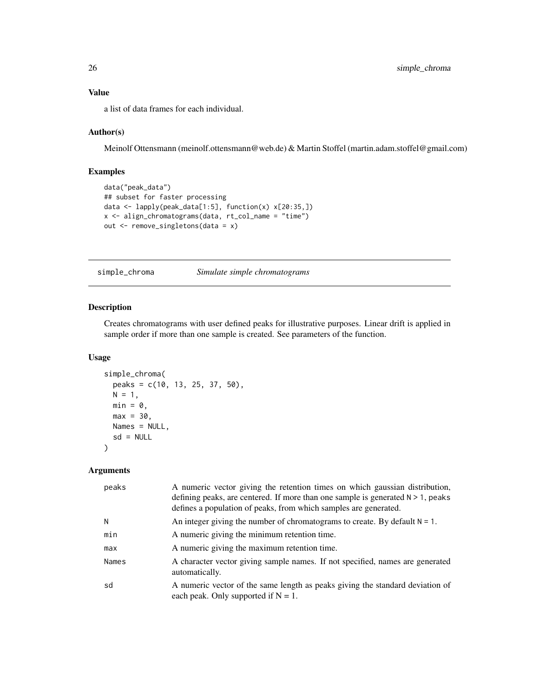<span id="page-25-0"></span>Value

a list of data frames for each individual.

## Author(s)

Meinolf Ottensmann (meinolf.ottensmann@web.de) & Martin Stoffel (martin.adam.stoffel@gmail.com)

## Examples

```
data("peak_data")
## subset for faster processing
data <- lapply(peak_data[1:5], function(x) x[20:35,])
x <- align_chromatograms(data, rt_col_name = "time")
out <- remove_singletons(data = x)
```
<span id="page-25-1"></span>simple\_chroma *Simulate simple chromatograms*

## Description

Creates chromatograms with user defined peaks for illustrative purposes. Linear drift is applied in sample order if more than one sample is created. See parameters of the function.

## Usage

```
simple_chroma(
 peaks = c(10, 13, 25, 37, 50),
 N = 1,
 min = 0,
 max = 30,
 Names = NULL,
  sd = NULL)
```

| peaks | A numeric vector giving the retention times on which gaussian distribution,<br>defining peaks, are centered. If more than one sample is generated $N > 1$ , peaks<br>defines a population of peaks, from which samples are generated. |
|-------|---------------------------------------------------------------------------------------------------------------------------------------------------------------------------------------------------------------------------------------|
| N     | An integer giving the number of chromatograms to create. By default $N = 1$ .                                                                                                                                                         |
| min   | A numeric giving the minimum retention time.                                                                                                                                                                                          |
| max   | A numeric giving the maximum retention time.                                                                                                                                                                                          |
| Names | A character vector giving sample names. If not specified, names are generated<br>automatically.                                                                                                                                       |
| sd    | A numeric vector of the same length as peaks giving the standard deviation of<br>each peak. Only supported if $N = 1$ .                                                                                                               |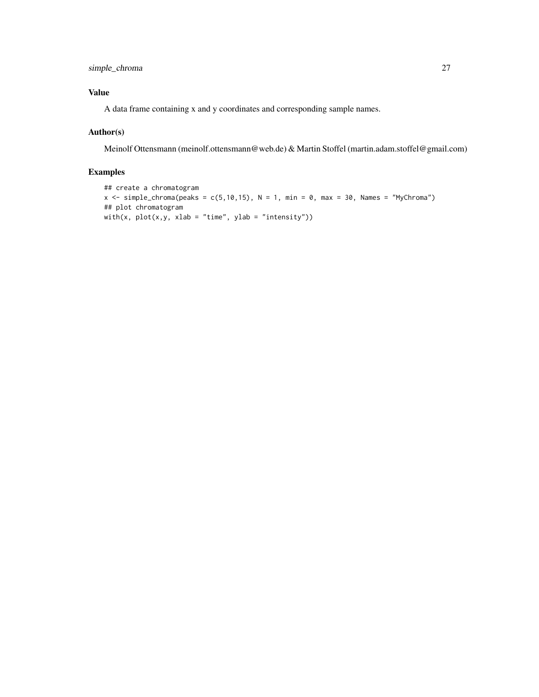simple\_chroma 27

## Value

A data frame containing x and y coordinates and corresponding sample names.

## Author(s)

Meinolf Ottensmann (meinolf.ottensmann@web.de) & Martin Stoffel (martin.adam.stoffel@gmail.com)

```
## create a chromatogram
x \le simple_chroma(peaks = c(5,10,15), N = 1, min = 0, max = 30, Names = "MyChroma")
## plot chromatogram
with(x, plot(x, y, xlab = "time", ylab = "intensity"))
```